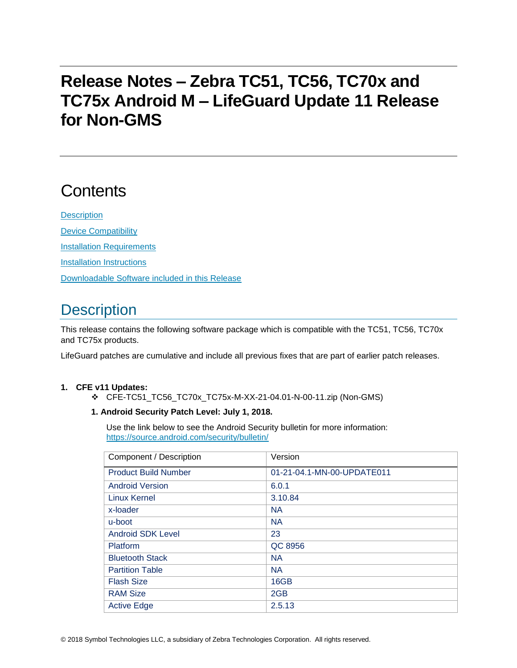# **Release Notes – Zebra TC51, TC56, TC70x and TC75x Android M – LifeGuard Update 11 Release for Non-GMS**

# **Contents**

**[Description](#page-0-0)** [Device Compatibility](#page-6-0) [Installation Requirements](#page-7-0) [Installation Instructions](#page-7-1) [Downloadable Software included in this Release](#page-8-0)

## <span id="page-0-0"></span>**Description**

This release contains the following software package which is compatible with the TC51, TC56, TC70x and TC75x products.

LifeGuard patches are cumulative and include all previous fixes that are part of earlier patch releases.

#### **1. CFE v11 Updates:**

❖ CFE-TC51\_TC56\_TC70x\_TC75x-M-XX-21-04.01-N-00-11.zip (Non-GMS)

#### **1. Android Security Patch Level: July 1, 2018.**

Use the link below to see the Android Security bulletin for more information: <https://source.android.com/security/bulletin/>

| Component / Description     | Version                    |
|-----------------------------|----------------------------|
| <b>Product Build Number</b> | 01-21-04.1-MN-00-UPDATE011 |
| <b>Android Version</b>      | 6.0.1                      |
| <b>Linux Kernel</b>         | 3.10.84                    |
| x-loader                    | <b>NA</b>                  |
| u-boot                      | <b>NA</b>                  |
| Android SDK Level           | 23                         |
| Platform                    | QC 8956                    |
| <b>Bluetooth Stack</b>      | <b>NA</b>                  |
| <b>Partition Table</b>      | <b>NA</b>                  |
| <b>Flash Size</b>           | 16GB                       |
| <b>RAM Size</b>             | 2GB                        |
| <b>Active Edge</b>          | 2.5.13                     |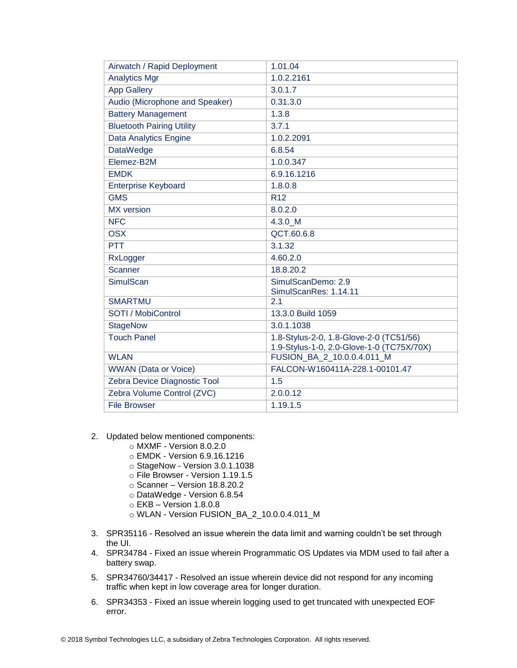| Airwatch / Rapid Deployment      | 1.01.04                                                                              |
|----------------------------------|--------------------------------------------------------------------------------------|
| <b>Analytics Mgr</b>             | 1.0.2.2161                                                                           |
| <b>App Gallery</b>               | 3.0.1.7                                                                              |
| Audio (Microphone and Speaker)   | 0.31.3.0                                                                             |
| <b>Battery Management</b>        | 1.3.8                                                                                |
| <b>Bluetooth Pairing Utility</b> | 3.7.1                                                                                |
| <b>Data Analytics Engine</b>     | 1.0.2.2091                                                                           |
| <b>DataWedge</b>                 | 6.8.54                                                                               |
| Elemez-B2M                       | 1.0.0.347                                                                            |
| <b>EMDK</b>                      | 6.9.16.1216                                                                          |
| <b>Enterprise Keyboard</b>       | 1.8.0.8                                                                              |
| <b>GMS</b>                       | R <sub>12</sub>                                                                      |
| <b>MX</b> version                | 8.0.2.0                                                                              |
| <b>NFC</b>                       | 4.3.0 M                                                                              |
| <b>OSX</b>                       | QCT.60.6.8                                                                           |
| <b>PTT</b>                       | 3.1.32                                                                               |
| RxLogger                         | 4.60.2.0                                                                             |
| <b>Scanner</b>                   | 18.8.20.2                                                                            |
| <b>SimulScan</b>                 | SimulScanDemo: 2.9                                                                   |
|                                  | SimulScanRes: 1.14.11                                                                |
| <b>SMARTMU</b>                   | 2.1                                                                                  |
| SOTI / MobiControl               | 13.3.0 Build 1059                                                                    |
| <b>StageNow</b>                  | 3.0.1.1038                                                                           |
| <b>Touch Panel</b>               | 1.8-Stylus-2-0, 1.8-Glove-2-0 (TC51/56)<br>1.9-Stylus-1-0, 2.0-Glove-1-0 (TC75X/70X) |
| <b>WLAN</b>                      | FUSION_BA_2_10.0.0.4.011_M                                                           |
| <b>WWAN</b> (Data or Voice)      | FALCON-W160411A-228.1-00101.47                                                       |
| Zebra Device Diagnostic Tool     | 1.5                                                                                  |
| Zebra Volume Control (ZVC)       | 2.0.0.12                                                                             |
| <b>File Browser</b>              | 1.19.1.5                                                                             |

- 2. Updated below mentioned components:
	- o MXMF Version 8.0.2.0
	- o EMDK Version 6.9.16.1216
	- o StageNow Version 3.0.1.1038
	- o File Browser Version 1.19.1.5
	- o Scanner Version 18.8.20.2
	- o DataWedge Version 6.8.54
	- o EKB Version 1.8.0.8
	- o WLAN Version FUSION\_BA\_2\_10.0.0.4.011\_M
- 3. SPR35116 Resolved an issue wherein the data limit and warning couldn't be set through the UI.
- 4. SPR34784 Fixed an issue wherein Programmatic OS Updates via MDM used to fail after a battery swap.
- 5. SPR34760/34417 Resolved an issue wherein device did not respond for any incoming traffic when kept in low coverage area for longer duration.
- 6. SPR34353 Fixed an issue wherein logging used to get truncated with unexpected EOF error.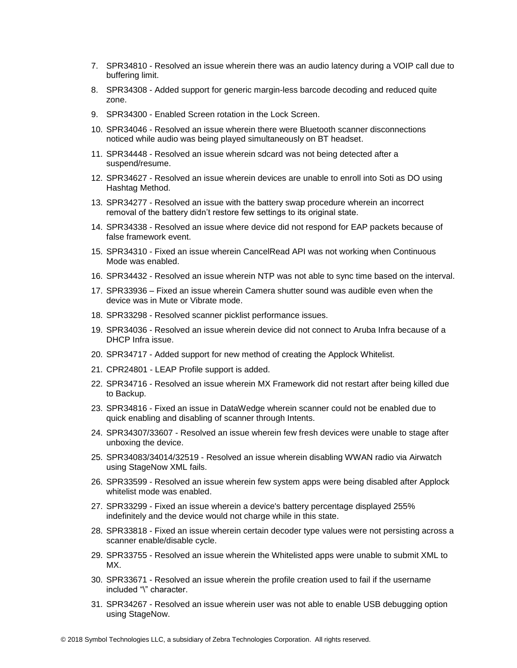- 7. SPR34810 Resolved an issue wherein there was an audio latency during a VOIP call due to buffering limit.
- 8. SPR34308 Added support for generic margin-less barcode decoding and reduced quite zone.
- 9. SPR34300 Enabled Screen rotation in the Lock Screen.
- 10. SPR34046 Resolved an issue wherein there were Bluetooth scanner disconnections noticed while audio was being played simultaneously on BT headset.
- 11. SPR34448 Resolved an issue wherein sdcard was not being detected after a suspend/resume.
- 12. SPR34627 Resolved an issue wherein devices are unable to enroll into Soti as DO using Hashtag Method.
- 13. SPR34277 Resolved an issue with the battery swap procedure wherein an incorrect removal of the battery didn't restore few settings to its original state.
- 14. SPR34338 Resolved an issue where device did not respond for EAP packets because of false framework event.
- 15. SPR34310 Fixed an issue wherein CancelRead API was not working when Continuous Mode was enabled.
- 16. SPR34432 Resolved an issue wherein NTP was not able to sync time based on the interval.
- 17. SPR33936 Fixed an issue wherein Camera shutter sound was audible even when the device was in Mute or Vibrate mode.
- 18. SPR33298 Resolved scanner picklist performance issues.
- 19. SPR34036 Resolved an issue wherein device did not connect to Aruba Infra because of a DHCP Infra issue.
- 20. SPR34717 Added support for new method of creating the Applock Whitelist.
- 21. CPR24801 LEAP Profile support is added.
- 22. SPR34716 Resolved an issue wherein MX Framework did not restart after being killed due to Backup.
- 23. SPR34816 Fixed an issue in DataWedge wherein scanner could not be enabled due to quick enabling and disabling of scanner through Intents.
- 24. SPR34307/33607 Resolved an issue wherein few fresh devices were unable to stage after unboxing the device.
- 25. SPR34083/34014/32519 Resolved an issue wherein disabling WWAN radio via Airwatch using StageNow XML fails.
- 26. SPR33599 Resolved an issue wherein few system apps were being disabled after Applock whitelist mode was enabled.
- 27. SPR33299 Fixed an issue wherein a device's battery percentage displayed 255% indefinitely and the device would not charge while in this state.
- 28. SPR33818 Fixed an issue wherein certain decoder type values were not persisting across a scanner enable/disable cycle.
- 29. SPR33755 Resolved an issue wherein the Whitelisted apps were unable to submit XML to MX.
- 30. SPR33671 Resolved an issue wherein the profile creation used to fail if the username included "\" character.
- 31. SPR34267 Resolved an issue wherein user was not able to enable USB debugging option using StageNow.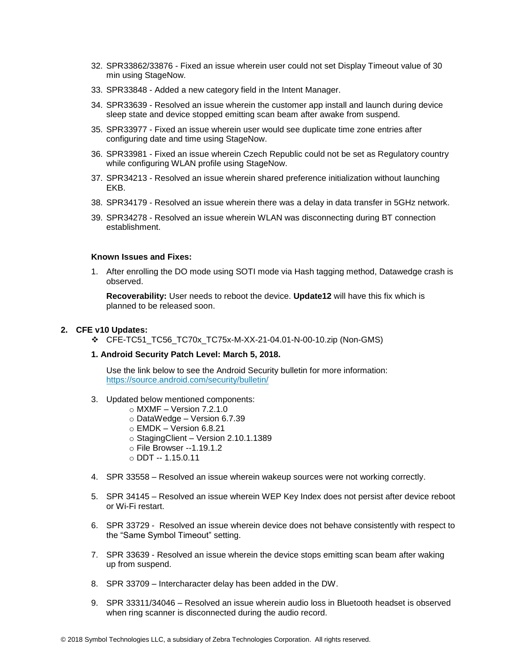- 32. SPR33862/33876 Fixed an issue wherein user could not set Display Timeout value of 30 min using StageNow.
- 33. SPR33848 Added a new category field in the Intent Manager.
- 34. SPR33639 Resolved an issue wherein the customer app install and launch during device sleep state and device stopped emitting scan beam after awake from suspend.
- 35. SPR33977 Fixed an issue wherein user would see duplicate time zone entries after configuring date and time using StageNow.
- 36. SPR33981 Fixed an issue wherein Czech Republic could not be set as Regulatory country while configuring WLAN profile using StageNow.
- 37. SPR34213 Resolved an issue wherein shared preference initialization without launching EKB.
- 38. SPR34179 Resolved an issue wherein there was a delay in data transfer in 5GHz network.
- 39. SPR34278 Resolved an issue wherein WLAN was disconnecting during BT connection establishment.

#### **Known Issues and Fixes:**

1. After enrolling the DO mode using SOTI mode via Hash tagging method, Datawedge crash is observed.

**Recoverability:** User needs to reboot the device. **Update12** will have this fix which is planned to be released soon.

#### **2. CFE v10 Updates:**

❖ CFE-TC51\_TC56\_TC70x\_TC75x-M-XX-21-04.01-N-00-10.zip (Non-GMS)

#### **1. Android Security Patch Level: March 5, 2018.**

Use the link below to see the Android Security bulletin for more information: <https://source.android.com/security/bulletin/>

- 3. Updated below mentioned components:
	- $\circ$  MXMF Version 7.2.1.0
	- o DataWedge Version 6.7.39
	- $\circ$  EMDK Version 6.8.21
	- o StagingClient Version 2.10.1.1389
	- o File Browser --1.19.1.2
	- o DDT -- 1.15.0.11
- 4. SPR 33558 Resolved an issue wherein wakeup sources were not working correctly.
- 5. SPR 34145 Resolved an issue wherein WEP Key Index does not persist after device reboot or Wi-Fi restart.
- 6. SPR 33729 Resolved an issue wherein device does not behave consistently with respect to the "Same Symbol Timeout" setting.
- 7. SPR 33639 Resolved an issue wherein the device stops emitting scan beam after waking up from suspend.
- 8. SPR 33709 Intercharacter delay has been added in the DW.
- 9. SPR 33311/34046 Resolved an issue wherein audio loss in Bluetooth headset is observed when ring scanner is disconnected during the audio record.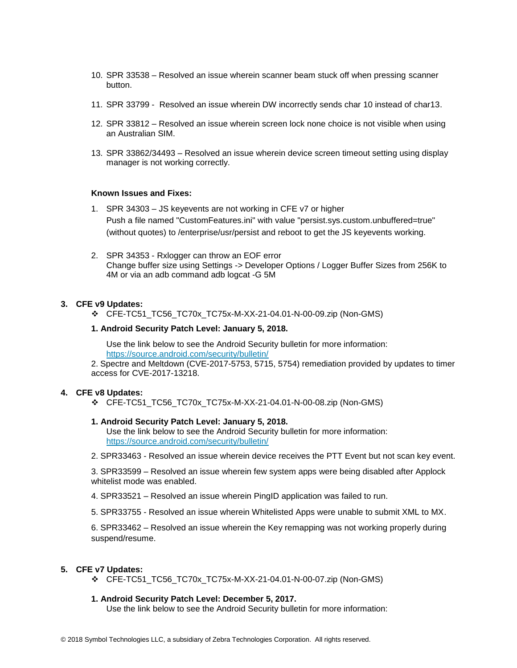- 10. SPR 33538 Resolved an issue wherein scanner beam stuck off when pressing scanner button.
- 11. SPR 33799 Resolved an issue wherein DW incorrectly sends char 10 instead of char13.
- 12. SPR 33812 Resolved an issue wherein screen lock none choice is not visible when using an Australian SIM.
- 13. SPR 33862/34493 Resolved an issue wherein device screen timeout setting using display manager is not working correctly.

#### **Known Issues and Fixes:**

- 1. SPR 34303 JS keyevents are not working in CFE v7 or higher Push a file named "CustomFeatures.ini" with value "persist.sys.custom.unbuffered=true" (without quotes) to /enterprise/usr/persist and reboot to get the JS keyevents working.
- 2. SPR 34353 Rxlogger can throw an EOF error Change buffer size using Settings -> Developer Options / Logger Buffer Sizes from 256K to 4M or via an adb command adb logcat -G 5M

#### **3. CFE v9 Updates:**

❖ CFE-TC51\_TC56\_TC70x\_TC75x-M-XX-21-04.01-N-00-09.zip (Non-GMS)

#### **1. Android Security Patch Level: January 5, 2018.**

Use the link below to see the Android Security bulletin for more information: <https://source.android.com/security/bulletin/>

2. Spectre and Meltdown (CVE-2017-5753, 5715, 5754) remediation provided by updates to timer access for CVE-2017-13218.

#### **4. CFE v8 Updates:**

❖ CFE-TC51\_TC56\_TC70x\_TC75x-M-XX-21-04.01-N-00-08.zip (Non-GMS)

#### **1. Android Security Patch Level: January 5, 2018.**

Use the link below to see the Android Security bulletin for more information: <https://source.android.com/security/bulletin/>

2. SPR33463 - Resolved an issue wherein device receives the PTT Event but not scan key event.

3. SPR33599 – Resolved an issue wherein few system apps were being disabled after Applock whitelist mode was enabled.

- 4. SPR33521 Resolved an issue wherein PingID application was failed to run.
- 5. SPR33755 Resolved an issue wherein Whitelisted Apps were unable to submit XML to MX.

6. SPR33462 – Resolved an issue wherein the Key remapping was not working properly during suspend/resume.

#### **5. CFE v7 Updates:**

❖ CFE-TC51\_TC56\_TC70x\_TC75x-M-XX-21-04.01-N-00-07.zip (Non-GMS)

#### **1. Android Security Patch Level: December 5, 2017.**

Use the link below to see the Android Security bulletin for more information: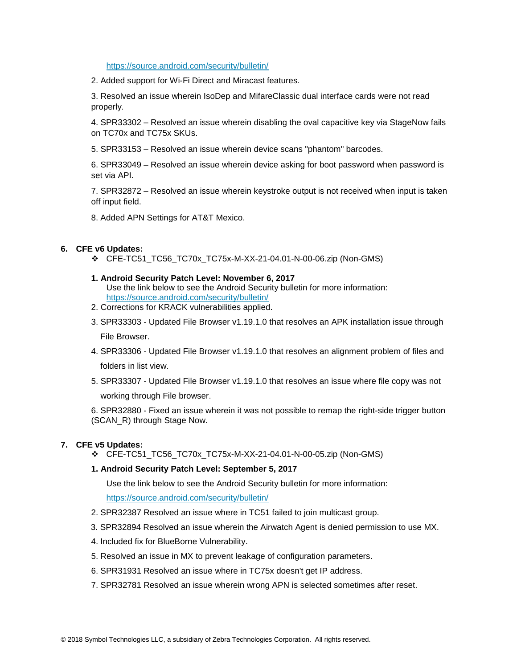<https://source.android.com/security/bulletin/>

2. Added support for Wi-Fi Direct and Miracast features.

3. Resolved an issue wherein IsoDep and MifareClassic dual interface cards were not read properly.

4. SPR33302 – Resolved an issue wherein disabling the oval capacitive key via StageNow fails on TC70x and TC75x SKUs.

5. SPR33153 – Resolved an issue wherein device scans "phantom" barcodes.

6. SPR33049 – Resolved an issue wherein device asking for boot password when password is set via API.

7. SPR32872 – Resolved an issue wherein keystroke output is not received when input is taken off input field.

8. Added APN Settings for AT&T Mexico.

#### **6. CFE v6 Updates:**

❖ CFE-TC51\_TC56\_TC70x\_TC75x-M-XX-21-04.01-N-00-06.zip (Non-GMS)

#### **1. Android Security Patch Level: November 6, 2017**

- Use the link below to see the Android Security bulletin for more information: <https://source.android.com/security/bulletin/>
- 2. Corrections for KRACK vulnerabilities applied.
- 3. SPR33303 Updated File Browser v1.19.1.0 that resolves an APK installation issue through File Browser.
- 4. SPR33306 Updated File Browser v1.19.1.0 that resolves an alignment problem of files and folders in list view.
- 5. SPR33307 Updated File Browser v1.19.1.0 that resolves an issue where file copy was not working through File browser.

6. SPR32880 - Fixed an issue wherein it was not possible to remap the right-side trigger button (SCAN\_R) through Stage Now.

#### **7. CFE v5 Updates:**

❖ CFE-TC51\_TC56\_TC70x\_TC75x-M-XX-21-04.01-N-00-05.zip (Non-GMS)

#### **1. Android Security Patch Level: September 5, 2017**

Use the link below to see the Android Security bulletin for more information:

<https://source.android.com/security/bulletin/>

- 2. SPR32387 Resolved an issue where in TC51 failed to join multicast group.
- 3. SPR32894 Resolved an issue wherein the Airwatch Agent is denied permission to use MX.
- 4. Included fix for BlueBorne Vulnerability.
- 5. Resolved an issue in MX to prevent leakage of configuration parameters.
- 6. SPR31931 Resolved an issue where in TC75x doesn't get IP address.
- 7. SPR32781 Resolved an issue wherein wrong APN is selected sometimes after reset.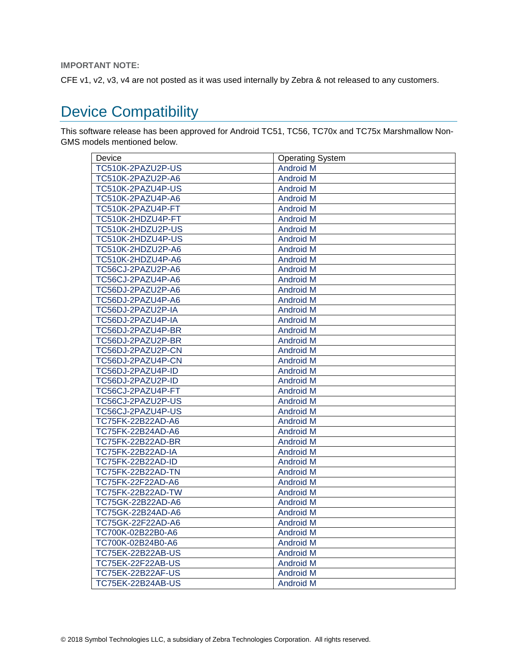#### **IMPORTANT NOTE:**

CFE v1, v2, v3, v4 are not posted as it was used internally by Zebra & not released to any customers.

## <span id="page-6-0"></span>Device Compatibility

This software release has been approved for Android TC51, TC56, TC70x and TC75x Marshmallow Non-GMS models mentioned below.

| Device                   | <b>Operating System</b> |
|--------------------------|-------------------------|
| TC510K-2PAZU2P-US        | <b>Android M</b>        |
| TC510K-2PAZU2P-A6        | <b>Android M</b>        |
| TC510K-2PAZU4P-US        | <b>Android M</b>        |
| TC510K-2PAZU4P-A6        | <b>Android M</b>        |
| TC510K-2PAZU4P-FT        | <b>Android M</b>        |
| TC510K-2HDZU4P-FT        | <b>Android M</b>        |
| TC510K-2HDZU2P-US        | <b>Android M</b>        |
| TC510K-2HDZU4P-US        | <b>Android M</b>        |
| TC510K-2HDZU2P-A6        | <b>Android M</b>        |
| TC510K-2HDZU4P-A6        | <b>Android M</b>        |
| TC56CJ-2PAZU2P-A6        | <b>Android M</b>        |
| TC56CJ-2PAZU4P-A6        | <b>Android M</b>        |
| TC56DJ-2PAZU2P-A6        | <b>Android M</b>        |
| TC56DJ-2PAZU4P-A6        | <b>Android M</b>        |
| TC56DJ-2PAZU2P-IA        | <b>Android M</b>        |
| TC56DJ-2PAZU4P-IA        | <b>Android M</b>        |
| TC56DJ-2PAZU4P-BR        | <b>Android M</b>        |
| TC56DJ-2PAZU2P-BR        | <b>Android M</b>        |
| TC56DJ-2PAZU2P-CN        | <b>Android M</b>        |
| TC56DJ-2PAZU4P-CN        | <b>Android M</b>        |
| TC56DJ-2PAZU4P-ID        | <b>Android M</b>        |
| TC56DJ-2PAZU2P-ID        | <b>Android M</b>        |
| TC56CJ-2PAZU4P-FT        | <b>Android M</b>        |
| TC56CJ-2PAZU2P-US        | <b>Android M</b>        |
| TC56CJ-2PAZU4P-US        | Android M               |
| TC75FK-22B22AD-A6        | <b>Android M</b>        |
| TC75FK-22B24AD-A6        | <b>Android M</b>        |
| TC75FK-22B22AD-BR        | <b>Android M</b>        |
| TC75FK-22B22AD-IA        | <b>Android M</b>        |
| TC75FK-22B22AD-ID        | <b>Android M</b>        |
| TC75FK-22B22AD-TN        | <b>Android M</b>        |
| TC75FK-22F22AD-A6        | <b>Android M</b>        |
| TC75FK-22B22AD-TW        | <b>Android M</b>        |
| TC75GK-22B22AD-A6        | <b>Android M</b>        |
| TC75GK-22B24AD-A6        | <b>Android M</b>        |
| TC75GK-22F22AD-A6        | <b>Android M</b>        |
| TC700K-02B22B0-A6        | <b>Android M</b>        |
| TC700K-02B24B0-A6        | <b>Android M</b>        |
| TC75EK-22B22AB-US        | <b>Android M</b>        |
| <b>TC75EK-22F22AB-US</b> | <b>Android M</b>        |
| <b>TC75EK-22B22AF-US</b> | <b>Android M</b>        |
| <b>TC75EK-22B24AB-US</b> | <b>Android M</b>        |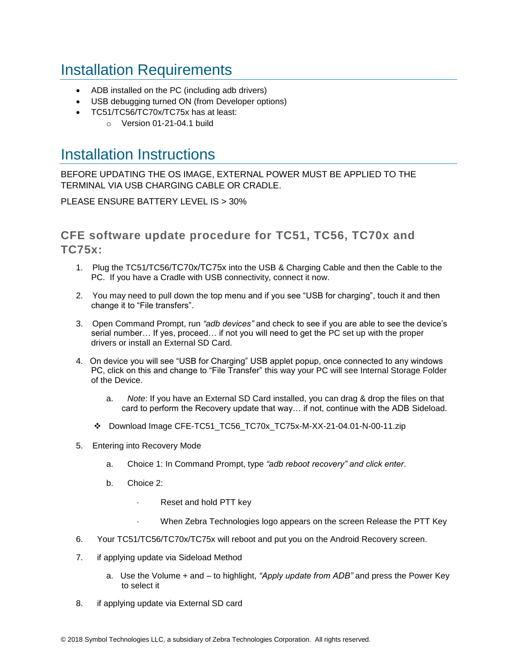## <span id="page-7-0"></span>Installation Requirements

- ADB installed on the PC (including adb drivers)
- USB debugging turned ON (from Developer options)
- TC51/TC56/TC70x/TC75x has at least:
	- o Version 01-21-04.1 build

### <span id="page-7-1"></span>Installation Instructions

BEFORE UPDATING THE OS IMAGE, EXTERNAL POWER MUST BE APPLIED TO THE TERMINAL VIA USB CHARGING CABLE OR CRADLE.

PLEASE ENSURE BATTERY LEVEL IS > 30%

CFE software update procedure for TC51, TC56, TC70x and TC75x:

- 1. Plug the TC51/TC56/TC70x/TC75x into the USB & Charging Cable and then the Cable to the PC. If you have a Cradle with USB connectivity, connect it now.
- 2. You may need to pull down the top menu and if you see "USB for charging", touch it and then change it to "File transfers".
- 3. Open Command Prompt, run *"adb devices"* and check to see if you are able to see the device's serial number… If yes, proceed… if not you will need to get the PC set up with the proper drivers or install an External SD Card.
- 4. On device you will see "USB for Charging" USB applet popup, once connected to any windows PC, click on this and change to "File Transfer" this way your PC will see Internal Storage Folder of the Device.
	- a. *Note*: If you have an External SD Card installed, you can drag & drop the files on that card to perform the Recovery update that way… if not, continue with the ADB Sideload.
	- ❖ Download Image CFE-TC51\_TC56\_TC70x\_TC75x-M-XX-21-04.01-N-00-11.zip
- 5. Entering into Recovery Mode
	- a. Choice 1: In Command Prompt, type *"adb reboot recovery" and click enter*.
	- b. Choice 2:
		- Reset and hold PTT key
		- When Zebra Technologies logo appears on the screen Release the PTT Key
- 6. Your TC51/TC56/TC70x/TC75x will reboot and put you on the Android Recovery screen.
- 7. if applying update via Sideload Method
	- a. Use the Volume + and to highlight, *"Apply update from ADB"* and press the Power Key to select it
- 8. if applying update via External SD card